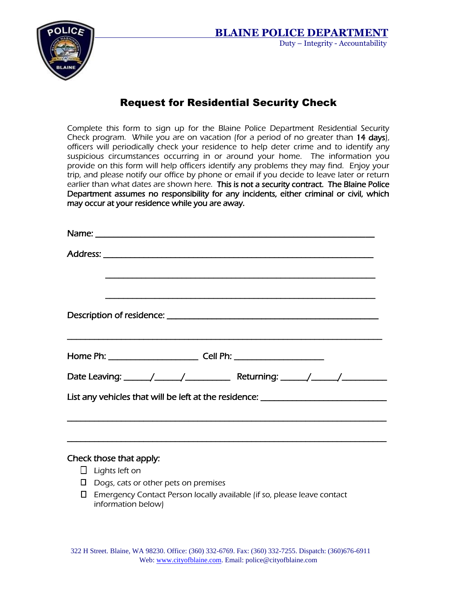

## Request for Residential Security Check

Complete this form to sign up for the Blaine Police Department Residential Security Check program. While you are on vacation (for a period of no greater than 14 days), officers will periodically check your residence to help deter crime and to identify any suspicious circumstances occurring in or around your home. The information you provide on this form will help officers identify any problems they may find. Enjoy your trip, and please notify our office by phone or email if you decide to leave later or return earlier than what dates are shown here. This is not a security contract. The Blaine Police Department assumes no responsibility for any incidents, either criminal or civil, which may occur at your residence while you are away.

|                                                                                  | <u> 1989 - Johann Stoff, deutscher Stoff, der Stoff, der Stoff, der Stoff, der Stoff, der Stoff, der Stoff, der S</u> |  |
|----------------------------------------------------------------------------------|-----------------------------------------------------------------------------------------------------------------------|--|
|                                                                                  |                                                                                                                       |  |
|                                                                                  |                                                                                                                       |  |
|                                                                                  |                                                                                                                       |  |
| List any vehicles that will be left at the residence: __________________________ |                                                                                                                       |  |
|                                                                                  |                                                                                                                       |  |
|                                                                                  |                                                                                                                       |  |
|                                                                                  |                                                                                                                       |  |

## Check those that apply:

- $\Box$  Lights left on
- $\square$  Dogs, cats or other pets on premises
- Emergency Contact Person locally available (if so, please leave contact information below)